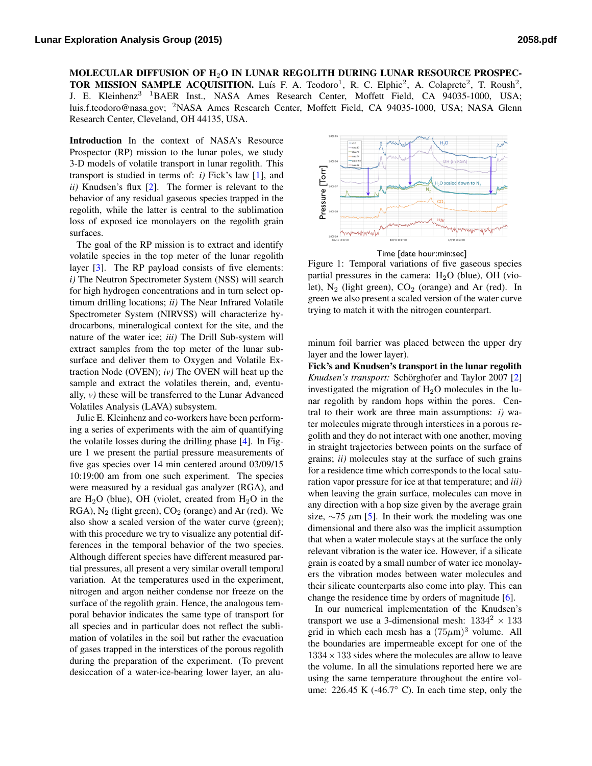MOLECULAR DIFFUSION OF H2O IN LUNAR REGOLITH DURING LUNAR RESOURCE PROSPEC-TOR MISSION SAMPLE ACQUISITION. Luís F. A. Teodoro<sup>1</sup>, R. C. Elphic<sup>2</sup>, A. Colaprete<sup>2</sup>, T. Roush<sup>2</sup>, J. E. Kleinhenz<sup>3 1</sup>BAER Inst., NASA Ames Research Center, Moffett Field, CA 94035-1000, USA; [luis.f.teodoro@nasa.gov;](mailto:luis.f.teodoro@nasa.gov) <sup>2</sup>NASA Ames Research Center, Moffett Field, CA 94035-1000, USA; NASA Glenn Research Center, Cleveland, OH 44135, USA.

Introduction In the context of NASA's Resource Prospector (RP) mission to the lunar poles, we study 3-D models of volatile transport in lunar regolith. This transport is studied in terms of: *i)* Fick's law [\[1\]](#page-1-0), and *ii)* Knudsen's flux [\[2\]](#page-1-1). The former is relevant to the behavior of any residual gaseous species trapped in the regolith, while the latter is central to the sublimation loss of exposed ice monolayers on the regolith grain surfaces.

The goal of the RP mission is to extract and identify volatile species in the top meter of the lunar regolith layer [\[3\]](#page-1-2). The RP payload consists of five elements: *i)* The Neutron Spectrometer System (NSS) will search for high hydrogen concentrations and in turn select optimum drilling locations; *ii)* The Near Infrared Volatile Spectrometer System (NIRVSS) will characterize hydrocarbons, mineralogical context for the site, and the nature of the water ice; *iii)* The Drill Sub-system will extract samples from the top meter of the lunar subsurface and deliver them to Oxygen and Volatile Extraction Node (OVEN); *iv)* The OVEN will heat up the sample and extract the volatiles therein, and, eventually, *v)* these will be transferred to the Lunar Advanced Volatiles Analysis (LAVA) subsystem.

Julie E. Kleinhenz and co-workers have been performing a series of experiments with the aim of quantifying the volatile losses during the drilling phase [\[4\]](#page-1-3). In Figure 1 we present the partial pressure measurements of five gas species over 14 min centered around 03/09/15 10:19:00 am from one such experiment. The species were measured by a residual gas analyzer (RGA), and are  $H_2O$  (blue), OH (violet, created from  $H_2O$  in the  $RGA$ ),  $N_2$  (light green),  $CO_2$  (orange) and Ar (red). We also show a scaled version of the water curve (green); with this procedure we try to visualize any potential differences in the temporal behavior of the two species. Although different species have different measured partial pressures, all present a very similar overall temporal variation. At the temperatures used in the experiment, nitrogen and argon neither condense nor freeze on the surface of the regolith grain. Hence, the analogous temporal behavior indicates the same type of transport for all species and in particular does not reflect the sublimation of volatiles in the soil but rather the evacuation of gases trapped in the interstices of the porous regolith during the preparation of the experiment. (To prevent Volutile species in the top metrop of the hourst regulation of a linear results and respective the bearing significant in  $\partial P$ . The RP maydon consists of its user of  $\partial P$ . Negroes the feature of  $\partial P$ . Negroes the const



partial pressures in the camera:  $H<sub>2</sub>O$  (blue), OH (vio-Figure 1: Temporal variations of five gaseous species let),  $N_2$  (light green),  $CO_2$  (orange) and Ar (red). In green we also present a scaled version of the water curve trying to match it with the nitrogen counterpart.

minum foil barrier was placed between the upper dry layer and the lower layer).

Fick's and Knudsen's transport in the lunar regolith *Knudsen's transport:* Schörghofer and Taylor 2007 [[2\]](#page-1-1) investigated the migration of  $H<sub>2</sub>O$  molecules in the lunar regolith by random hops within the pores. Central to their work are three main assumptions: *i)* water molecules migrate through interstices in a porous regolith and they do not interact with one another, moving in straight trajectories between points on the surface of grains; *ii)* molecules stay at the surface of such grains for a residence time which corresponds to the local saturation vapor pressure for ice at that temperature; and *iii)* when leaving the grain surface, molecules can move in any direction with a hop size given by the average grain size,  $\sim$ 75  $\mu$ m [\[5\]](#page-1-4). In their work the modeling was one dimensional and there also was the implicit assumption that when a water molecule stays at the surface the only relevant vibration is the water ice. However, if a silicate grain is coated by a small number of water ice monolayers the vibration modes between water molecules and their silicate counterparts also come into play. This can change the residence time by orders of magnitude [\[6\]](#page-1-5).

In our numerical implementation of the Knudsen's transport we use a 3-dimensional mesh:  $1334^2 \times 133$ grid in which each mesh has a  $(75 \mu m)^3$  volume. All the boundaries are impermeable except for one of the  $1334 \times 133$  sides where the molecules are allow to leave the volume. In all the simulations reported here we are using the same temperature throughout the entire volume:  $226.45$  K (-46.7 $\degree$  C). In each time step, only the